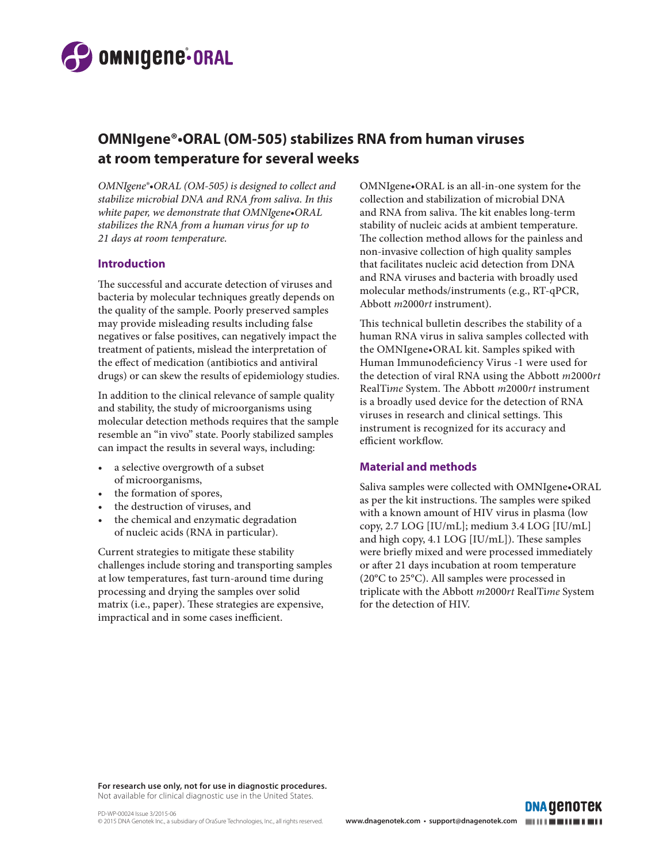

# **OMNIgene®•ORAL (OM-505) stabilizes RNA from human viruses at room temperature for several weeks**

*OMNIgene®•ORAL (OM-505) is designed to collect and stabilize microbial DNA and RNA from saliva. In this white paper, we demonstrate that OMNIgene•ORAL stabilizes the RNA from a human virus for up to 21 days at room temperature.* 

### **Introduction**

The successful and accurate detection of viruses and bacteria by molecular techniques greatly depends on the quality of the sample. Poorly preserved samples may provide misleading results including false negatives or false positives, can negatively impact the treatment of patients, mislead the interpretation of the effect of medication (antibiotics and antiviral drugs) or can skew the results of epidemiology studies.

In addition to the clinical relevance of sample quality and stability, the study of microorganisms using molecular detection methods requires that the sample resemble an "in vivo" state. Poorly stabilized samples can impact the results in several ways, including:

- a selective overgrowth of a subset of microorganisms,
- the formation of spores,
- the destruction of viruses, and
- the chemical and enzymatic degradation of nucleic acids (RNA in particular).

Current strategies to mitigate these stability challenges include storing and transporting samples at low temperatures, fast turn-around time during processing and drying the samples over solid matrix (i.e., paper). These strategies are expensive, impractical and in some cases inefficient.

OMNIgene•ORAL is an all-in-one system for the collection and stabilization of microbial DNA and RNA from saliva. The kit enables long-term stability of nucleic acids at ambient temperature. The collection method allows for the painless and non-invasive collection of high quality samples that facilitates nucleic acid detection from DNA and RNA viruses and bacteria with broadly used molecular methods/instruments (e.g., RT-qPCR, Abbott *m*2000*rt* instrument).

This technical bulletin describes the stability of a human RNA virus in saliva samples collected with the OMNIgene•ORAL kit. Samples spiked with Human Immunodeficiency Virus -1 were used for the detection of viral RNA using the Abbott *m*2000*rt* RealTi*me* System. The Abbott *m*2000*rt* instrument is a broadly used device for the detection of RNA viruses in research and clinical settings. This instrument is recognized for its accuracy and efficient workflow.

## **Material and methods**

Saliva samples were collected with OMNIgene•ORAL as per the kit instructions. The samples were spiked with a known amount of HIV virus in plasma (low copy, 2.7 LOG [IU/mL]; medium 3.4 LOG [IU/mL] and high copy, 4.1 LOG [IU/mL]). These samples were briefly mixed and were processed immediately or after 21 days incubation at room temperature (20°C to 25°C). All samples were processed in triplicate with the Abbott *m*2000*rt* RealTi*me* System for the detection of HIV.

**For research use only, not for use in diagnostic procedures.**  Not available for clinical diagnostic use in the United States.

**DNA GENOTEK**